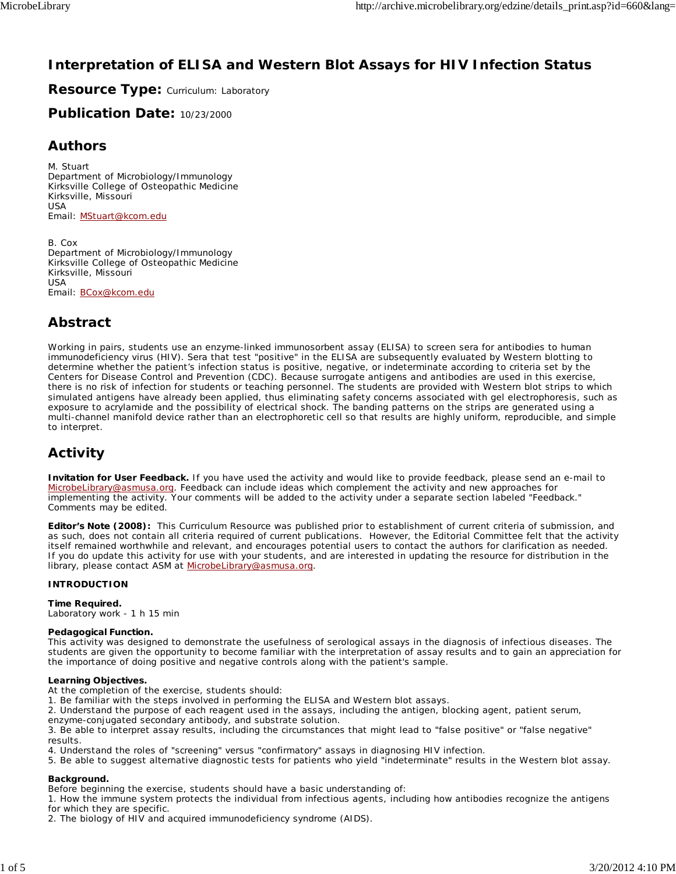# **Interpretation of ELISA and Western Blot Assays for HIV Infection Status**

**Resource Type: Curriculum: Laboratory** 

**Publication Date:** 10/23/2000

### **Authors**

*M. Stuart* Department of Microbiology/Immunology Kirksville College of Osteopathic Medicine Kirksville, Missouri USA Email: MStuart@kcom.edu

*B. Cox* Department of Microbiology/Immunology Kirksville College of Osteopathic Medicine Kirksville, Missouri USA Email: BCox@kcom.edu

# **Abstract**

Working in pairs, students use an enzyme-linked immunosorbent assay (ELISA) to screen sera for antibodies to human immunodeficiency virus (HIV). Sera that test "positive" in the ELISA are subsequently evaluated by Western blotting to determine whether the patient's infection status is positive, negative, or indeterminate according to criteria set by the Centers for Disease Control and Prevention (CDC). Because surrogate antigens and antibodies are used in this exercise, there is no risk of infection for students or teaching personnel. The students are provided with Western blot strips to which simulated antigens have already been applied, thus eliminating safety concerns associated with gel electrophoresis, such as exposure to acrylamide and the possibility of electrical shock. The banding patterns on the strips are generated using a multi-channel manifold device rather than an electrophoretic cell so that results are highly uniform, reproducible, and simple to interpret.

# **Activity**

**Invitation for User Feedback.** If you have used the activity and would like to provide feedback, please send an e-mail to MicrobeLibrary@asmusa.org. Feedback can include ideas which complement the activity and new approaches for implementing the activity. Your comments will be added to the activity under a separate section labeled "Feedback." Comments may be edited.

**Editor's Note (2008):** This Curriculum Resource was published prior to establishment of current criteria of submission, and as such, does not contain all criteria required of current publications. However, the Editorial Committee felt that the activity itself remained worthwhile and relevant, and encourages potential users to contact the authors for clarification as needed. If you do update this activity for use with your students, and are interested in updating the resource for distribution in the library, please contact ASM at MicrobeLibrary@asmusa.org.

#### **INTRODUCTION**

#### **Time Required.**

Laboratory work - 1 h 15 min

#### **Pedagogical Function.**

This activity was designed to demonstrate the usefulness of serological assays in the diagnosis of infectious diseases. The students are given the opportunity to become familiar with the interpretation of assay results and to gain an appreciation for the importance of doing positive and negative controls along with the patient's sample.

#### **Learning Objectives.**

At the completion of the exercise, students should:

1. Be familiar with the steps involved in performing the ELISA and Western blot assays.

2. Understand the purpose of each reagent used in the assays, including the antigen, blocking agent, patient serum,

enzyme-conjugated secondary antibody, and substrate solution.

3. Be able to interpret assay results, including the circumstances that might lead to "false positive" or "false negative" results.

4. Understand the roles of "screening" versus "confirmatory" assays in diagnosing HIV infection.

5. Be able to suggest alternative diagnostic tests for patients who yield "indeterminate" results in the Western blot assay.

#### **Background.**

Before beginning the exercise, students should have a basic understanding of:

1. How the immune system protects the individual from infectious agents, including how antibodies recognize the antigens for which they are specific.

2. The biology of HIV and acquired immunodeficiency syndrome (AIDS).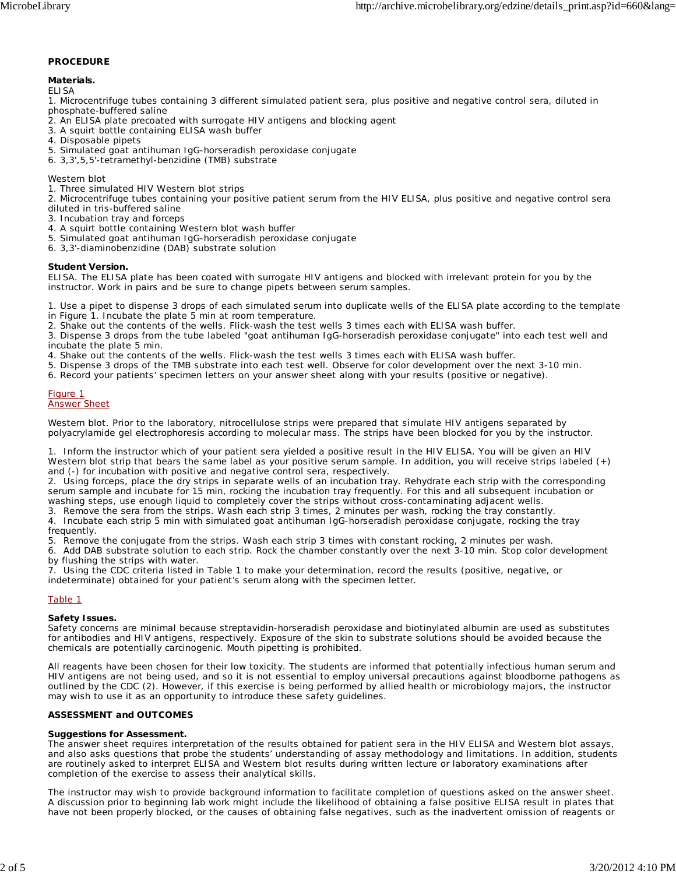#### **PROCEDURE**

#### **Materials.**

*ELISA*

1. Microcentrifuge tubes containing 3 different simulated patient sera, plus positive and negative control sera, diluted in phosphate-buffered saline

- 2. An ELISA plate precoated with surrogate HIV antigens and blocking agent
- 3. A squirt bottle containing ELISA wash buffer
- 4. Disposable pipets
- 5. Simulated goat antihuman IgG-horseradish peroxidase conjugate
- 6. 3,3',5,5'-tetramethyl-benzidine (TMB) substrate

#### *Western blot*

- 1. Three simulated HIV Western blot strips
- 2. Microcentrifuge tubes containing your positive patient serum from the HIV ELISA, plus positive and negative control sera
- diluted in tris-buffered saline
- 3. Incubation tray and forceps
- 4. A squirt bottle containing Western blot wash buffer
- 5. Simulated goat antihuman IgG-horseradish peroxidase conjugate
- 6. 3,3'-diaminobenzidine (DAB) substrate solution

#### **Student Version.**

*ELISA.* The ELISA plate has been coated with surrogate HIV antigens and blocked with irrelevant protein for you by the instructor. Work in pairs and be sure to change pipets between serum samples.

1. Use a pipet to dispense 3 drops of each simulated serum into duplicate wells of the ELISA plate according to the template

- in Figure 1. Incubate the plate 5 min at room temperature.
- 2. Shake out the contents of the wells. Flick-wash the test wells 3 times each with ELISA wash buffer.

3. Dispense 3 drops from the tube labeled "goat antihuman IgG-horseradish peroxidase conjugate" into each test well and incubate the plate 5 min.

4. Shake out the contents of the wells. Flick-wash the test wells 3 times each with ELISA wash buffer.

- 5. Dispense 3 drops of the TMB substrate into each test well. Observe for color development over the next 3-10 min.
- 6. Record your patients' specimen letters on your answer sheet along with your results (positive or negative).

#### Figure 1 Answer Sheet

*Western blot.* Prior to the laboratory, nitrocellulose strips were prepared that simulate HIV antigens separated by polyacrylamide gel electrophoresis according to molecular mass. The strips have been blocked for you by the instructor.

1. Inform the instructor which of your patient sera yielded a positive result in the HIV ELISA. You will be given an HIV Western blot strip that bears the same label as your positive serum sample. In addition, you will receive strips labeled (+) and (-) for incubation with positive and negative control sera, respectively.

2. Using forceps, place the dry strips in separate wells of an incubation tray. Rehydrate each strip with the corresponding serum sample and incubate for 15 min, rocking the incubation tray frequently. For this and all subsequent incubation or washing steps, use enough liquid to completely cover the strips without cross-contaminating adjacent wells.

3. Remove the sera from the strips. Wash each strip 3 times, 2 minutes per wash, rocking the tray constantly.

4. Incubate each strip 5 min with simulated goat antihuman IgG-horseradish peroxidase conjugate, rocking the tray frequently.

5. Remove the conjugate from the strips. Wash each strip 3 times with constant rocking, 2 minutes per wash.

6. Add DAB substrate solution to each strip. Rock the chamber constantly over the next 3-10 min. Stop color development by flushing the strips with water.

7. Using the CDC criteria listed in Table 1 to make your determination, record the results (positive, negative, or indeterminate) obtained for your patient's serum along with the specimen letter.

#### Table 1

#### **Safety Issues.**

Safety concerns are minimal because streptavidin-horseradish peroxidase and biotinylated albumin are used as substitutes for antibodies and HIV antigens, respectively. Exposure of the skin to substrate solutions should be avoided because the chemicals are potentially carcinogenic. Mouth pipetting is prohibited.

All reagents have been chosen for their low toxicity. The students are informed that potentially infectious human serum and HIV antigens are not being used, and so it is not essential to employ universal precautions against bloodborne pathogens as outlined by the CDC (2). However, if this exercise is being performed by allied health or microbiology majors, the instructor may wish to use it as an opportunity to introduce these safety guidelines.

#### **ASSESSMENT and OUTCOMES**

#### **Suggestions for Assessment.**

The answer sheet requires interpretation of the results obtained for patient sera in the HIV ELISA and Western blot assays, and also asks questions that probe the students' understanding of assay methodology and limitations. In addition, students are routinely asked to interpret ELISA and Western blot results during written lecture or laboratory examinations after completion of the exercise to assess their analytical skills.

The instructor may wish to provide background information to facilitate completion of questions asked on the answer sheet. A discussion prior to beginning lab work might include the likelihood of obtaining a false positive ELISA result in plates that have not been properly blocked, or the causes of obtaining false negatives, such as the inadvertent omission of reagents or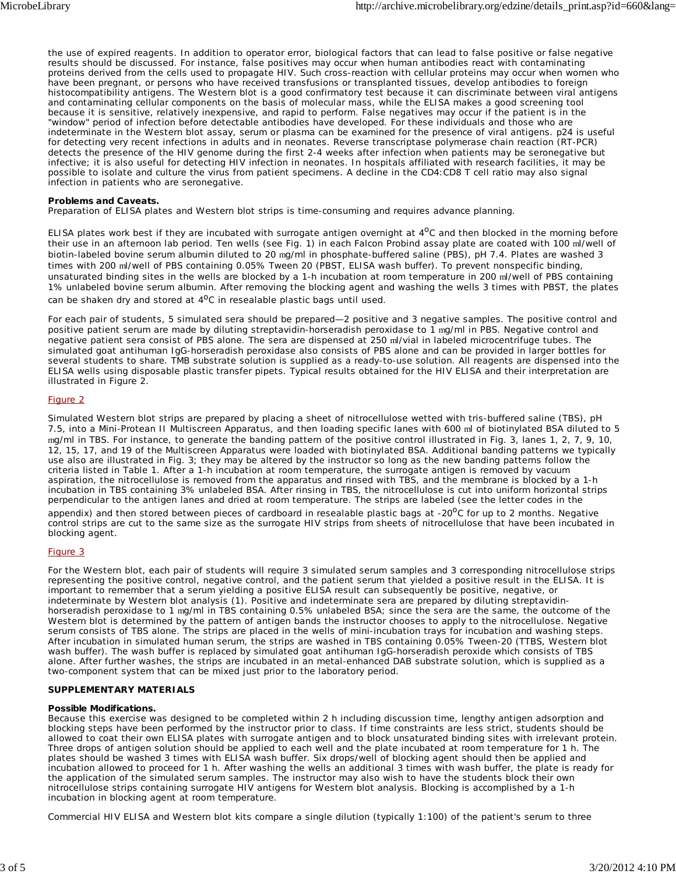the use of expired reagents. In addition to operator error, biological factors that can lead to false positive or false negative results should be discussed. For instance, false positives may occur when human antibodies react with contaminating proteins derived from the cells used to propagate HIV. Such cross-reaction with cellular proteins may occur when women who have been pregnant, or persons who have received transfusions or transplanted tissues, develop antibodies to foreign histocompatibility antigens. The Western blot is a good confirmatory test because it can discriminate between viral antigens and contaminating cellular components on the basis of molecular mass, while the ELISA makes a good screening tool because it is sensitive, relatively inexpensive, and rapid to perform. False negatives may occur if the patient is in the "window" period of infection before detectable antibodies have developed. For these individuals and those who are indeterminate in the Western blot assay, serum or plasma can be examined for the presence of viral antigens. p24 is useful for detecting very recent infections in adults and in neonates. Reverse transcriptase polymerase chain reaction (RT-PCR) detects the presence of the HIV genome during the first 2-4 weeks after infection when patients may be seronegative but infective; it is also useful for detecting HIV infection in neonates. In hospitals affiliated with research facilities, it may be possible to isolate and culture the virus from patient specimens. A decline in the CD4:CD8 T cell ratio may also signal infection in patients who are seronegative.

#### **Problems and Caveats.**

Preparation of ELISA plates and Western blot strips is time-consuming and requires advance planning.

ELISA plates work best if they are incubated with surrogate antigen overnight at  $4^{\circ}$ C and then blocked in the morning before their use in an afternoon lab period. Ten wells (see Fig. 1) in each Falcon Probind assay plate are coated with 100 ml/well of biotin-labeled bovine serum albumin diluted to 20 mg/ml in phosphate-buffered saline (PBS), pH 7.4. Plates are washed 3 times with 200 ml/well of PBS containing 0.05% Tween 20 (PBST, ELISA wash buffer). To prevent nonspecific binding, unsaturated binding sites in the wells are blocked by a 1-h incubation at room temperature in 200 ml/well of PBS containing 1% unlabeled bovine serum albumin. After removing the blocking agent and washing the wells 3 times with PBST, the plates can be shaken dry and stored at  $4^{\circ}$ C in resealable plastic bags until used.

For each pair of students, 5 simulated sera should be prepared—2 positive and 3 negative samples. The positive control and positive patient serum are made by diluting streptavidin-horseradish peroxidase to 1 mg/ml in PBS. Negative control and negative patient sera consist of PBS alone. The sera are dispensed at 250 ml/vial in labeled microcentrifuge tubes. The simulated goat antihuman IgG-horseradish peroxidase also consists of PBS alone and can be provided in larger bottles for several students to share. TMB substrate solution is supplied as a ready-to-use solution. All reagents are dispensed into the ELISA wells using disposable plastic transfer pipets. Typical results obtained for the HIV ELISA and their interpretation are illustrated in Figure 2.

#### Figure 2

Simulated Western blot strips are prepared by placing a sheet of nitrocellulose wetted with tris-buffered saline (TBS), pH 7.5, into a Mini-Protean II Multiscreen Apparatus, and then loading specific lanes with 600 ml of biotinylated BSA diluted to 5 mg/ml in TBS. For instance, to generate the banding pattern of the positive control illustrated in Fig. 3, lanes 1, 2, 7, 9, 10, 12, 15, 17, and 19 of the Multiscreen Apparatus were loaded with biotinylated BSA. Additional banding patterns we typically use also are illustrated in Fig. 3; they may be altered by the instructor so long as the new banding patterns follow the criteria listed in Table 1. After a 1-h incubation at room temperature, the surrogate antigen is removed by vacuum aspiration, the nitrocellulose is removed from the apparatus and rinsed with TBS, and the membrane is blocked by a 1-h incubation in TBS containing 3% unlabeled BSA. After rinsing in TBS, the nitrocellulose is cut into uniform horizontal strips perpendicular to the antigen lanes and dried at room temperature. The strips are labeled (see the letter codes in the

appendix) and then stored between pieces of cardboard in resealable plastic bags at -20 $^{\circ}$ C for up to 2 months. Negative control strips are cut to the same size as the surrogate HIV strips from sheets of nitrocellulose that have been incubated in blocking agent.

#### Figure 3

For the Western blot, each pair of students will require 3 simulated serum samples and 3 corresponding nitrocellulose strips representing the positive control, negative control, and the patient serum that yielded a positive result in the ELISA. It is important to remember that a serum yielding a positive ELISA result can subsequently be positive, negative, or indeterminate by Western blot analysis (1). Positive and indeterminate sera are prepared by diluting streptavidinhorseradish peroxidase to 1 mg/ml in TBS containing 0.5% unlabeled BSA; since the sera are the same, the outcome of the Western blot is determined by the pattern of antigen bands the instructor chooses to apply to the nitrocellulose. Negative serum consists of TBS alone. The strips are placed in the wells of mini-incubation trays for incubation and washing steps. After incubation in simulated human serum, the strips are washed in TBS containing 0.05% Tween-20 (TTBS, Western blot wash buffer). The wash buffer is replaced by simulated goat antihuman IgG-horseradish peroxide which consists of TBS alone. After further washes, the strips are incubated in an metal-enhanced DAB substrate solution, which is supplied as a two-component system that can be mixed just prior to the laboratory period.

#### **SUPPLEMENTARY MATERIALS**

#### **Possible Modifications.**

Because this exercise was designed to be completed within 2 h including discussion time, lengthy antigen adsorption and blocking steps have been performed by the instructor prior to class. If time constraints are less strict, students should be allowed to coat their own ELISA plates with surrogate antigen and to block unsaturated binding sites with irrelevant protein. Three drops of antigen solution should be applied to each well and the plate incubated at room temperature for 1 h. The plates should be washed 3 times with ELISA wash buffer. Six drops/well of blocking agent should then be applied and incubation allowed to proceed for 1 h. After washing the wells an additional 3 times with wash buffer, the plate is ready for the application of the simulated serum samples. The instructor may also wish to have the students block their own nitrocellulose strips containing surrogate HIV antigens for Western blot analysis. Blocking is accomplished by a 1-h incubation in blocking agent at room temperature.

Commercial HIV ELISA and Western blot kits compare a single dilution (typically 1:100) of the patient's serum to three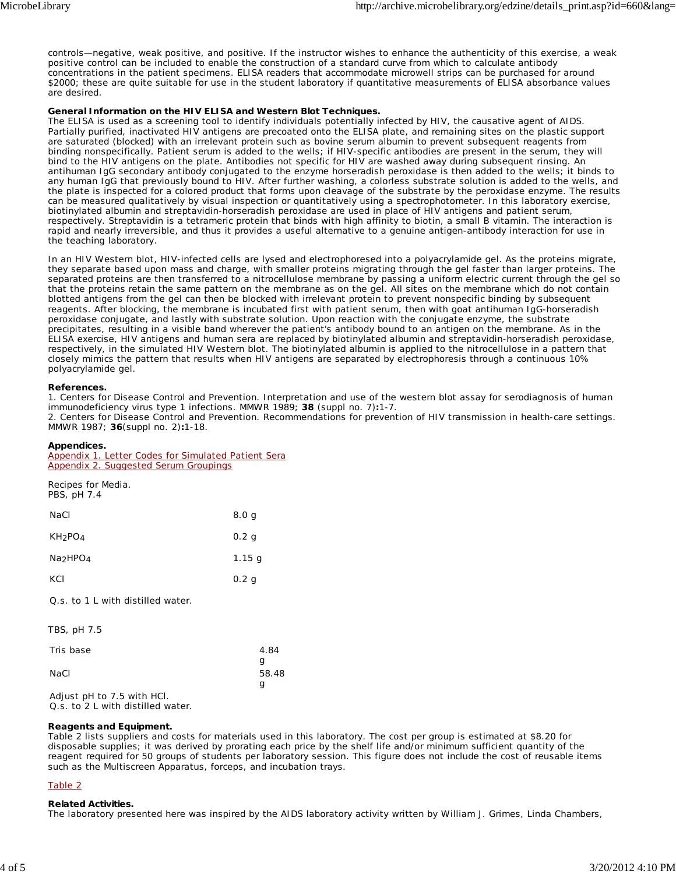controls—negative, weak positive, and positive. If the instructor wishes to enhance the authenticity of this exercise, a weak positive control can be included to enable the construction of a standard curve from which to calculate antibody concentrations in the patient specimens. ELISA readers that accommodate microwell strips can be purchased for around \$2000; these are quite suitable for use in the student laboratory if quantitative measurements of ELISA absorbance values are desired.

#### **General Information on the HIV ELISA and Western Blot Techniques.**

The ELISA is used as a screening tool to identify individuals potentially infected by HIV, the causative agent of AIDS. Partially purified, inactivated HIV antigens are precoated onto the ELISA plate, and remaining sites on the plastic support are saturated (blocked) with an irrelevant protein such as bovine serum albumin to prevent subsequent reagents from binding nonspecifically. Patient serum is added to the wells; if HIV-specific antibodies are present in the serum, they will bind to the HIV antigens on the plate. Antibodies not specific for HIV are washed away during subsequent rinsing. An antihuman IgG secondary antibody conjugated to the enzyme horseradish peroxidase is then added to the wells; it binds to any human IgG that previously bound to HIV. After further washing, a colorless substrate solution is added to the wells, and the plate is inspected for a colored product that forms upon cleavage of the substrate by the peroxidase enzyme. The results can be measured qualitatively by visual inspection or quantitatively using a spectrophotometer. In this laboratory exercise, biotinylated albumin and streptavidin-horseradish peroxidase are used in place of HIV antigens and patient serum, respectively. Streptavidin is a tetrameric protein that binds with high affinity to biotin, a small B vitamin. The interaction is rapid and nearly irreversible, and thus it provides a useful alternative to a genuine antigen-antibody interaction for use in the teaching laboratory.

In an HIV Western blot, HIV-infected cells are lysed and electrophoresed into a polyacrylamide gel. As the proteins migrate, they separate based upon mass and charge, with smaller proteins migrating through the gel faster than larger proteins. The separated proteins are then transferred to a nitrocellulose membrane by passing a uniform electric current through the gel so that the proteins retain the same pattern on the membrane as on the gel. All sites on the membrane which do not contain blotted antigens from the gel can then be blocked with irrelevant protein to prevent nonspecific binding by subsequent reagents. After blocking, the membrane is incubated first with patient serum, then with goat antihuman IgG-horseradish peroxidase conjugate, and lastly with substrate solution. Upon reaction with the conjugate enzyme, the substrate precipitates, resulting in a visible band wherever the patient's antibody bound to an antigen on the membrane. As in the ELISA exercise, HIV antigens and human sera are replaced by biotinylated albumin and streptavidin-horseradish peroxidase, respectively, in the simulated HIV Western blot. The biotinylated albumin is applied to the nitrocellulose in a pattern that closely mimics the pattern that results when HIV antigens are separated by electrophoresis through a continuous 10% polyacrylamide gel.

#### **References.**

1. Centers for Disease Control and Prevention. Interpretation and use of the western blot assay for serodiagnosis of human immunodeficiency virus type 1 infections. MMWR 1989; **38** (suppl no. 7)**:**1-7. 2. Centers for Disease Control and Prevention. Recommendations for prevention of HIV transmission in health-care settings.

MMWR 1987; **36**(suppl no. 2)**:**1-18.

#### **Appendices.**

| Appendix 1. Letter Codes for Simulated Patient Sera |  |  |  |  |
|-----------------------------------------------------|--|--|--|--|
| <b>Appendix 2. Suggested Serum Groupings</b>        |  |  |  |  |

| Recipes for Media.<br>PBS, pH 7.4 |                  |
|-----------------------------------|------------------|
| NaCl                              | 8.0 <sub>g</sub> |
| KH <sub>2</sub> PO <sub>4</sub>   | 0.2 <sub>q</sub> |
| Na <sub>2</sub> HPO <sub>4</sub>  | 1.15 g           |
| KCI                               | 0.2 <sub>q</sub> |
|                                   |                  |

Q.s. to 1 L with distilled water.

| TBS, pH 7.5 |       |
|-------------|-------|
| Tris base   | 4.84  |
|             | g     |
| NaCl        | 58.48 |
|             | q     |

Adjust pH to 7.5 with HCl. Q.s. to 2 L with distilled water.

#### **Reagents and Equipment.**

Table 2 lists suppliers and costs for materials used in this laboratory. The cost per group is estimated at \$8.20 for disposable supplies; it was derived by prorating each price by the shelf life and/or minimum sufficient quantity of the reagent required for 50 groups of students per laboratory session. This figure does not include the cost of reusable items such as the Multiscreen Apparatus, forceps, and incubation trays.

#### Table 2

#### **Related Activities.**

The laboratory presented here was inspired by the AIDS laboratory activity written by William J. Grimes, Linda Chambers,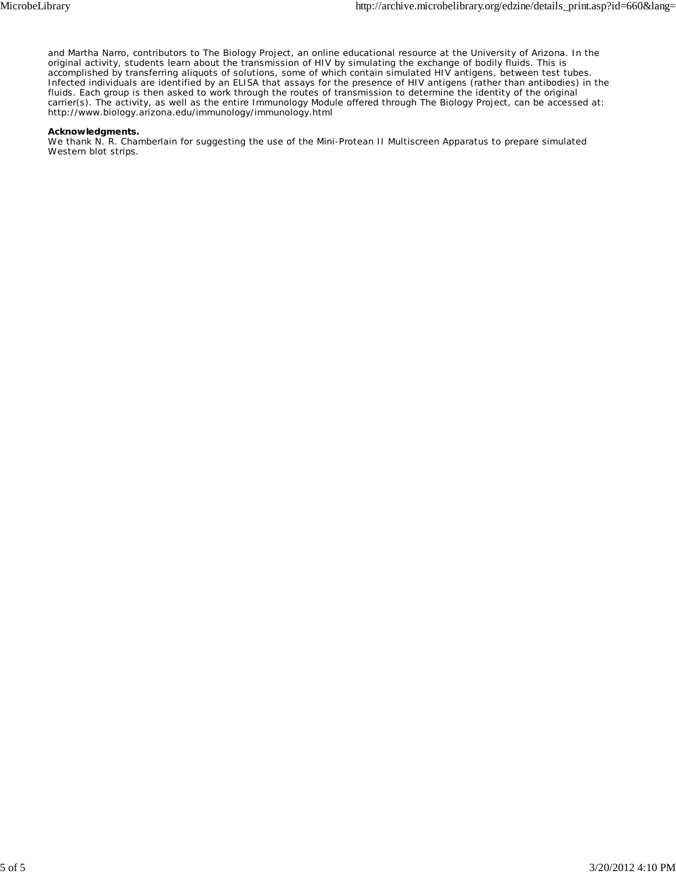and Martha Narro, contributors to The Biology Project, an online educational resource at the University of Arizona. In the original activity, students learn about the transmission of HIV by simulating the exchange of bodily fluids. This is accomplished by transferring aliquots of solutions, some of which contain simulated HIV antigens, between test tubes. Infected individuals are identified by an ELISA that assays for the presence of HIV antigens (rather than antibodies) in the fluids. Each group is then asked to work through the routes of transmission to determine the identity of the original carrier(s). The activity, as well as the entire Immunology Module offered through The Biology Project, can be accessed at: http://www.biology.arizona.edu/immunology/immunology.html

#### **Acknowledgments.**

We thank N. R. Chamberlain for suggesting the use of the Mini-Protean II Multiscreen Apparatus to prepare simulated Western blot strips.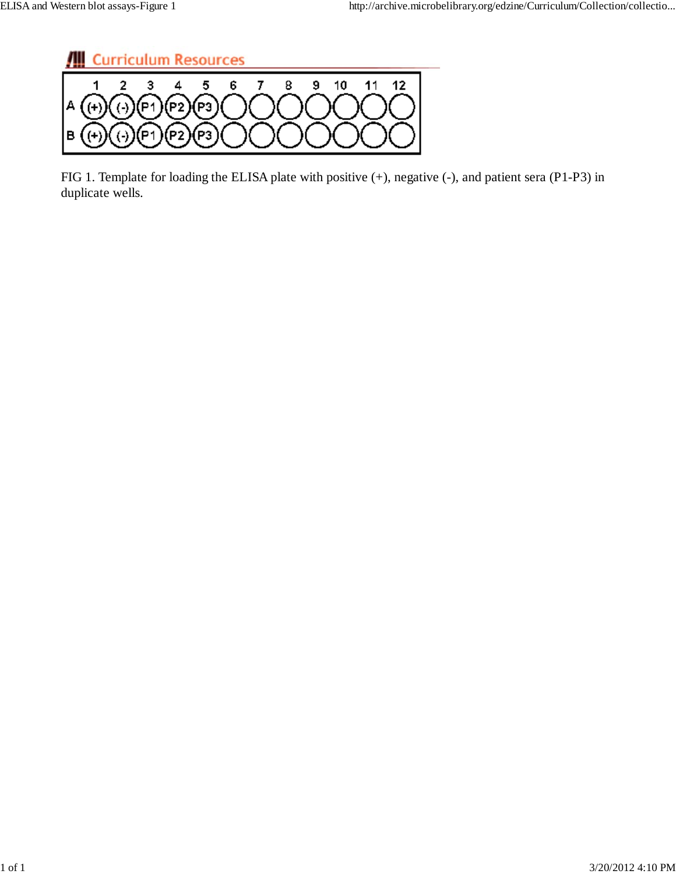

FIG 1. Template for loading the ELISA plate with positive (+), negative (-), and patient sera (P1-P3) in duplicate wells.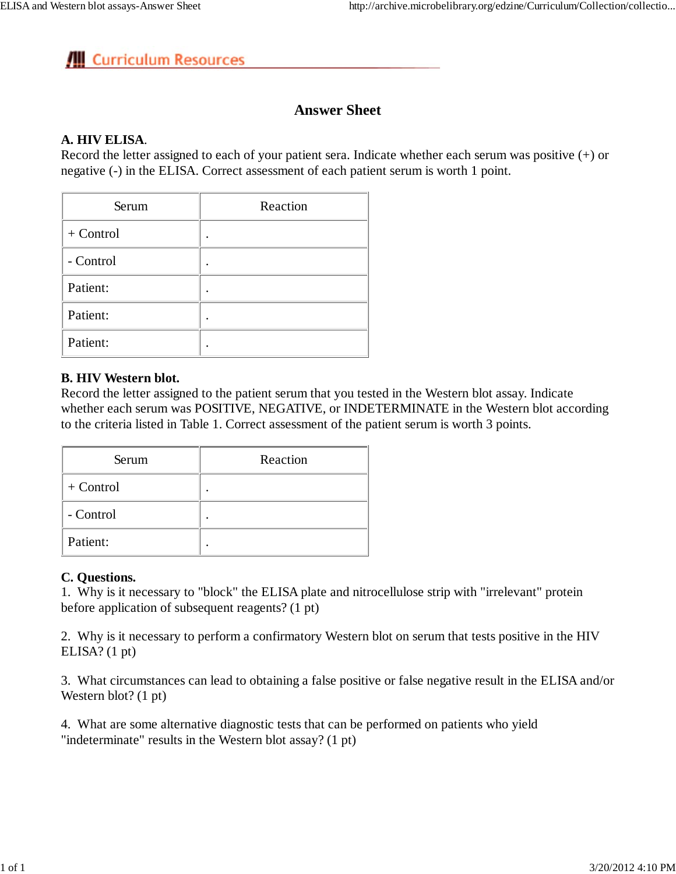# **Answer Sheet**

## **A. HIV ELISA**.

Record the letter assigned to each of your patient sera. Indicate whether each serum was positive (+) or negative (-) in the ELISA. Correct assessment of each patient serum is worth 1 point.

| Serum     | Reaction |
|-----------|----------|
| + Control |          |
| - Control |          |
| Patient:  |          |
| Patient:  |          |
| Patient:  |          |

## **B. HIV Western blot.**

Record the letter assigned to the patient serum that you tested in the Western blot assay. Indicate whether each serum was POSITIVE, NEGATIVE, or INDETERMINATE in the Western blot according to the criteria listed in Table 1. Correct assessment of the patient serum is worth 3 points.

| Serum     | Reaction |
|-----------|----------|
| + Control |          |
| - Control |          |
| Patient:  |          |

## **C. Questions.**

1. Why is it necessary to "block" the ELISA plate and nitrocellulose strip with "irrelevant" protein before application of subsequent reagents? (1 pt)

2. Why is it necessary to perform a confirmatory Western blot on serum that tests positive in the HIV ELISA? (1 pt)

3. What circumstances can lead to obtaining a false positive or false negative result in the ELISA and/or Western blot? (1 pt)

4. What are some alternative diagnostic tests that can be performed on patients who yield "indeterminate" results in the Western blot assay? (1 pt)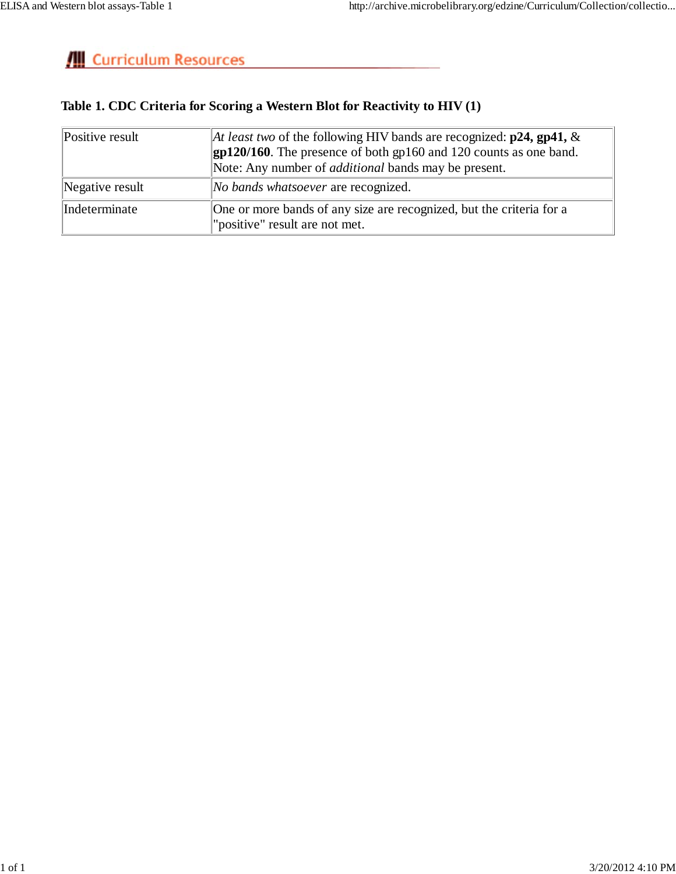# **Table 1. CDC Criteria for Scoring a Western Blot for Reactivity to HIV (1)**

| Positive result | At least two of the following HIV bands are recognized: $p24$ , $gp41$ , &<br>$\left  \frac{\text{gp120}}{160} \right $ . The presence of both $\left  \frac{\text{gp160}}{120} \right $ counts as one band.<br>Note: Any number of <i>additional</i> bands may be present. |
|-----------------|-----------------------------------------------------------------------------------------------------------------------------------------------------------------------------------------------------------------------------------------------------------------------------|
| Negative result | <i>No bands whatsoever</i> are recognized.                                                                                                                                                                                                                                  |
| Indeterminate   | One or more bands of any size are recognized, but the criteria for a<br>"positive" result are not met.                                                                                                                                                                      |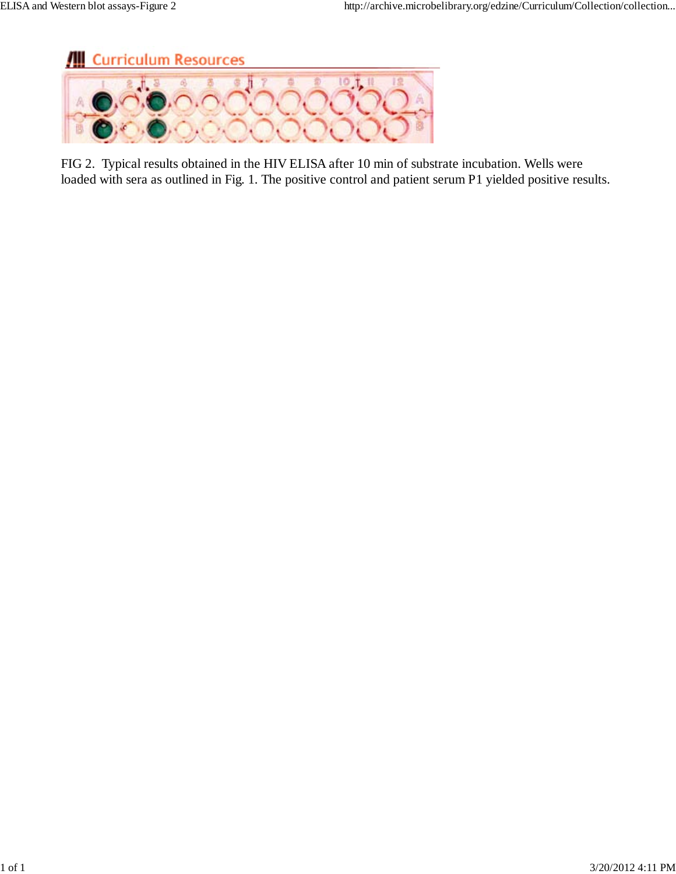

FIG 2. Typical results obtained in the HIV ELISA after 10 min of substrate incubation. Wells were loaded with sera as outlined in Fig. 1. The positive control and patient serum P1 yielded positive results.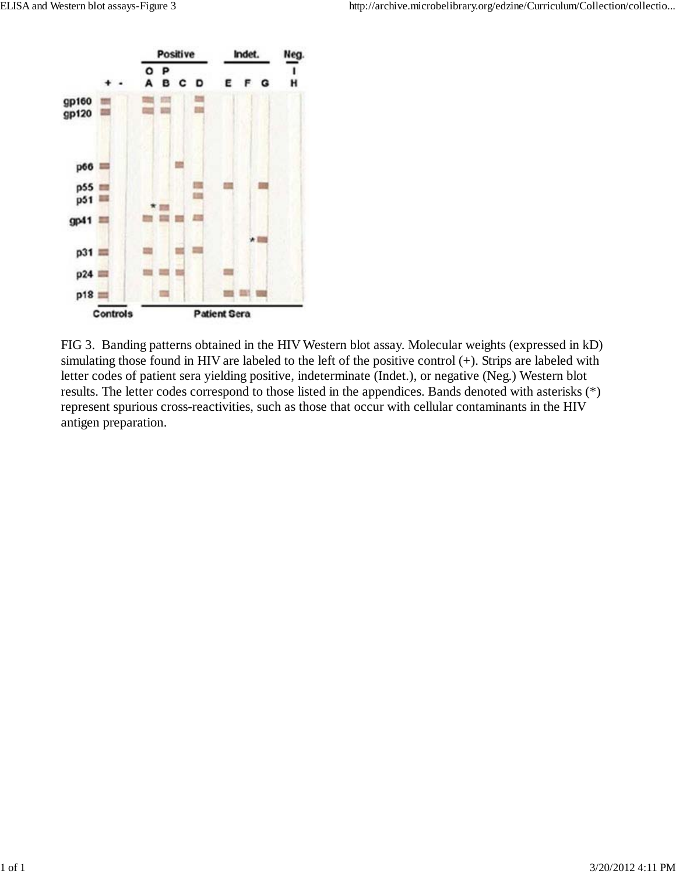

FIG 3. Banding patterns obtained in the HIV Western blot assay. Molecular weights (expressed in kD) simulating those found in HIV are labeled to the left of the positive control (+). Strips are labeled with letter codes of patient sera yielding positive, indeterminate (Indet.), or negative (Neg.) Western blot results. The letter codes correspond to those listed in the appendices. Bands denoted with asterisks (\*) represent spurious cross-reactivities, such as those that occur with cellular contaminants in the HIV antigen preparation.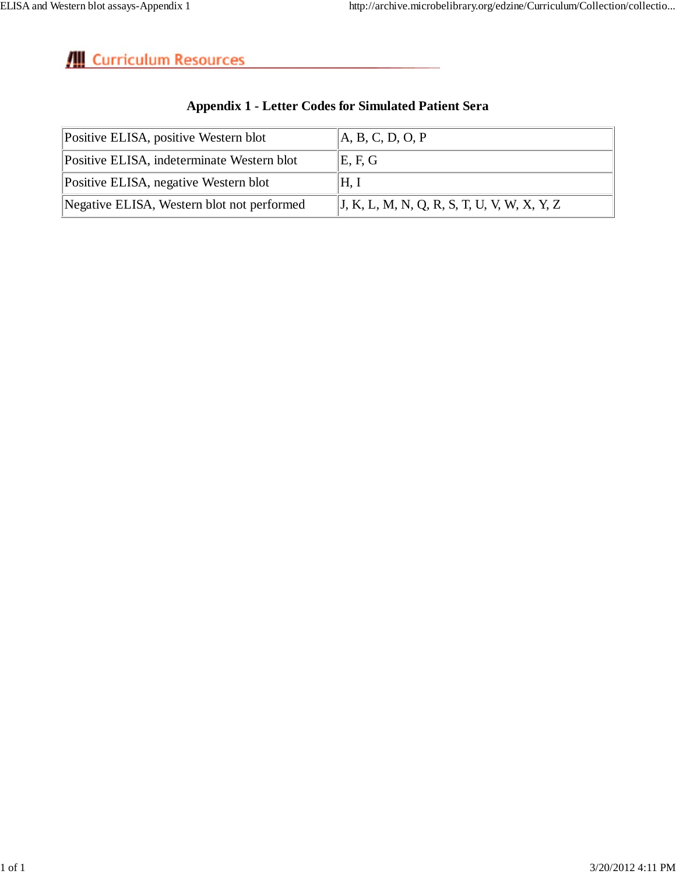| Positive ELISA, positive Western blot      | A, B, C, D, O, P                                |
|--------------------------------------------|-------------------------------------------------|
| Positive ELISA, indeterminate Western blot | $\mathbb{E}, \mathcal{F}, \mathcal{G}$          |
| Positive ELISA, negative Western blot      | H, I                                            |
| Negative ELISA, Western blot not performed | $ J, K, L, M, N, Q, R, S, T, U, V, W, X, Y, Z $ |

# **Appendix 1 - Letter Codes for Simulated Patient Sera**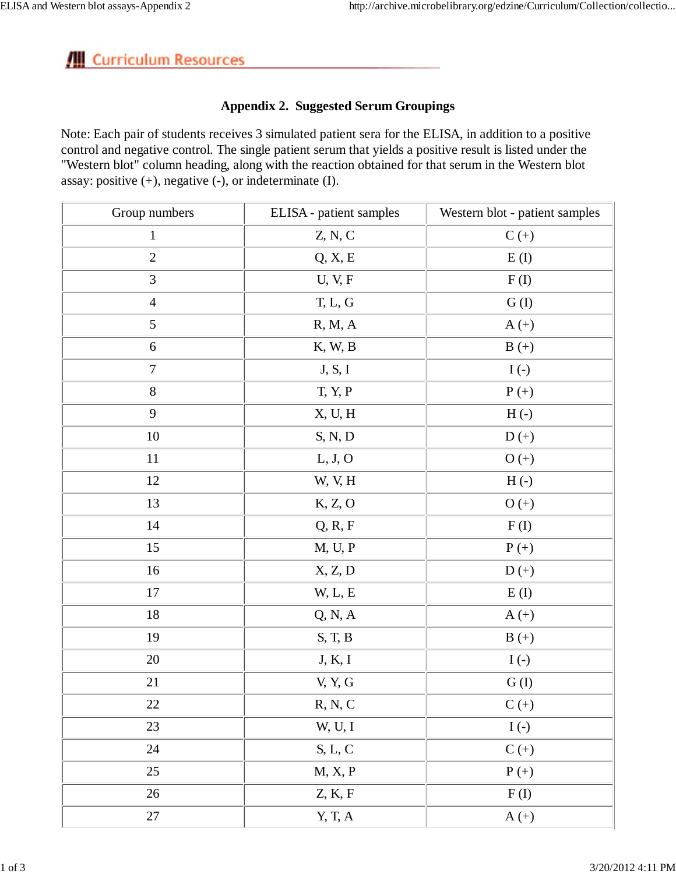## **Appendix 2. Suggested Serum Groupings**

Note: Each pair of students receives 3 simulated patient sera for the ELISA, in addition to a positive control and negative control. The single patient serum that yields a positive result is listed under the "Western blot" column heading, along with the reaction obtained for that serum in the Western blot assay: positive (+), negative (-), or indeterminate (I).

| Group numbers    | ELISA - patient samples | Western blot - patient samples |
|------------------|-------------------------|--------------------------------|
| $\,1\,$          | Z, N, C                 | $C (+)$                        |
| $\overline{2}$   | Q, X, E                 | E(I)                           |
| 3                | U, V, F                 | F(I)                           |
| $\overline{4}$   | T, L, G                 | G(I)                           |
| $\mathfrak{S}$   | R, M, A                 | $A (+)$                        |
| $\sqrt{6}$       | K, W, B                 | $B (+)$                        |
| $\boldsymbol{7}$ | J, S, I                 | $I(-)$                         |
| $8\,$            | T, Y, P                 | $P (+)$                        |
| 9                | X, U, H                 | $H(\cdot)$                     |
| 10               | S, N, D                 | $D (+)$                        |
| 11               | L, J, O                 | $O (+)$                        |
| 12               | W, V, H                 | $H(\cdot)$                     |
| 13               | K, Z, O                 | $O (+)$                        |
| $14$             | Q, R, F                 | F(I)                           |
| 15               | M, U, P                 | $P (+)$                        |
| 16               | X, Z, D                 | $D (+)$                        |
| 17               | W, L, E                 | E(I)                           |
| $18\,$           | Q, N, A                 | $A (+)$                        |
| 19               | S, T, B                 | $B (+)$                        |
| 20               | J, K, I                 | $I(-)$                         |
| 21               | V, Y, G                 | G(I)                           |
| $22\,$           | R, N, C                 | $C (+)$                        |
| 23               | W, U, I                 | $I(-)$                         |
| 24               | $S, L, C$               | $C (+)$                        |
| $25\,$           | M, X, P                 | $P(+)$                         |
| 26               | Z, K, F                 | F(I)                           |
| $27\,$           | Y, T, A                 | $A (+)$                        |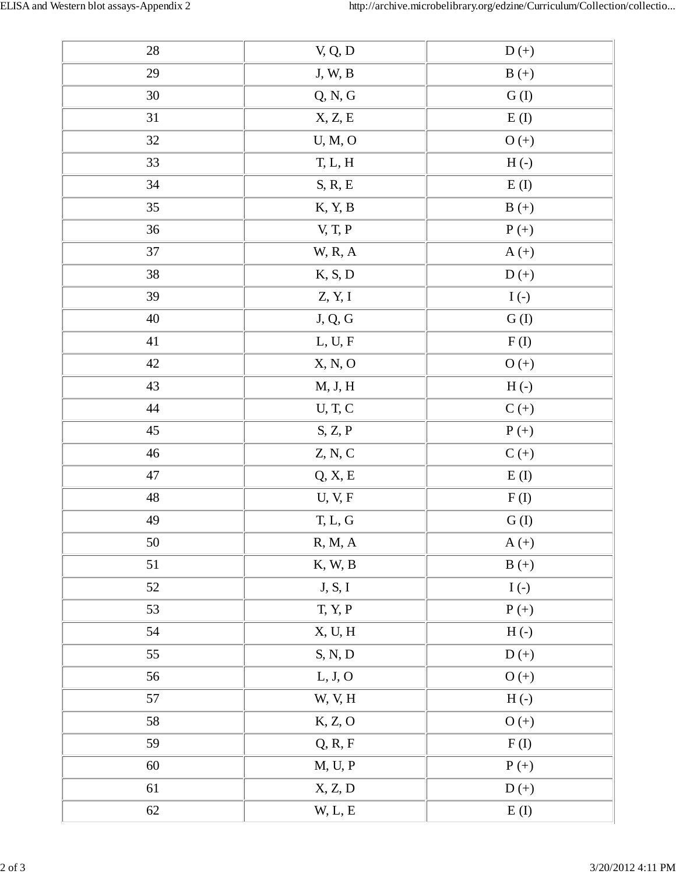| 28     | V, Q, D                            | $D (+)$        |  |
|--------|------------------------------------|----------------|--|
| 29     | $J, W, B$                          | $B (+)$        |  |
| $30\,$ | Q, N, G                            | ${\cal G}$ (I) |  |
| 31     | X, Z, E                            | E(I)           |  |
| 32     | U, M, O                            | $O (+)$        |  |
| 33     | T, L, H                            | $H(-)$         |  |
| 34     | S, R, E                            | E(I)           |  |
| 35     | K, Y, B                            | $B (+)$        |  |
| 36     | V, T, P                            | $P (+)$        |  |
| $37\,$ | W, R, A                            | $A (+)$        |  |
| 38     | K, S, D                            | $D (+)$        |  |
| 39     | Z, Y, I                            | $I(-)$         |  |
| $40\,$ | $\mathbf{J},\mathbf{Q},\mathbf{G}$ | ${\cal G}$ (I) |  |
| 41     | L, U, F                            | F(I)           |  |
| $42\,$ | X, N, O                            | $O (+)$        |  |
| 43     | M, J, H                            | $H(-)$         |  |
| 44     | U, T, C                            | $C (+)$        |  |
| $45\,$ | S, Z, P                            | $P (+)$        |  |
| $46\,$ | Z, N, C                            | $C (+)$        |  |
| $47\,$ | Q, X, E                            | E(I)           |  |
| $48\,$ | U, V, F                            | F(I)           |  |
| 49     | T, L, G                            | ${\cal G}$ (I) |  |
| $50\,$ | R, M, A                            | $A (+)$        |  |
| 51     | K, W, B                            | $B (+)$        |  |
| $52\,$ | J, S, I                            | $I(\cdot)$     |  |
| 53     | T, Y, P                            | $P (+)$        |  |
| 54     | X, U, H                            | $H(-)$         |  |
| 55     | S, N, D                            | $D (+)$        |  |
| 56     | L, J, O                            | $O (+)$        |  |
| 57     | W, V, H                            | $H(-)$         |  |
| 58     | K, Z, O                            | $O (+)$        |  |
| 59     | Q, R, F                            | F(I)           |  |
| $60\,$ | M, U, P                            | $P (+)$        |  |
| 61     | X, Z, D                            | $D (+)$        |  |
| 62     | W, L, E                            | E(I)           |  |
|        |                                    |                |  |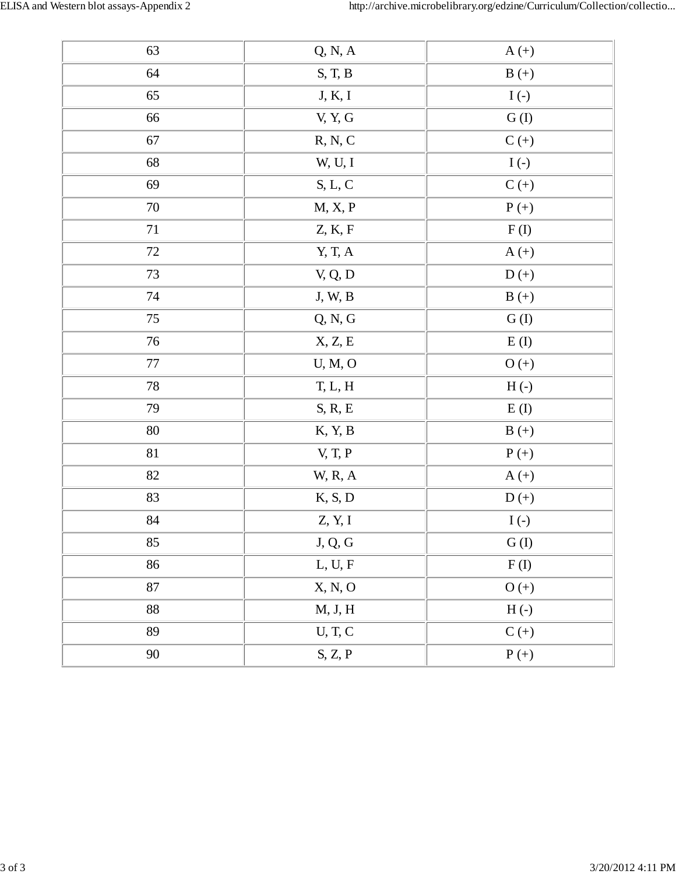| 63       | Q, N, A                                | $A (+)$                       |  |
|----------|----------------------------------------|-------------------------------|--|
| 64       | $\mathcal{S},$ T, $\mathcal{B}$        | $B (+)$                       |  |
| 65       | J, K, I                                | $I(-)$                        |  |
| 66       | V, Y, G                                | ${\cal G}$ (I)                |  |
| 67       | R, N, C                                | $\mathcal{C}\left( +\right)$  |  |
| 68       | W, U, I                                | $I(-)$                        |  |
| 69       | $S, L, C$                              | $C (+)$                       |  |
| $70\,$   | M, X, P                                | $P(+)$                        |  |
| $71\,$   | Z, K, F                                | F(I)                          |  |
| $72\,$   | Y, T, A                                | $A (+)$                       |  |
| 73       | V, Q, D                                | $D (+)$                       |  |
| $74\,$   | J, W, B                                | $B (+)$                       |  |
| 75       | Q, N, G                                | ${\cal G}$ (I)                |  |
| 76       | X, Z, E                                | E(I)                          |  |
| $77\,$   | U, M, O                                | $O (+)$                       |  |
| $78\,$   | T, L, H                                | $H(-)$                        |  |
| 79       | $S, R, E$                              | E(I)                          |  |
| $80\,$   | K, Y, B                                | $B (+)$                       |  |
| 81       | V, T, P                                | $P (+)$                       |  |
| $82\,$   | <b>W, R, A</b>                         | $A (+)$                       |  |
| 83       | K, S, D                                | $D (+)$                       |  |
| $\bf 84$ | Z, Y, I                                | $I(\cdot)$                    |  |
| 85       | $\mathbf{J},\,\mathbf{Q},\,\mathbf{G}$ | G(I)                          |  |
| 86       | L, U, F                                | ${\bf F}\left({\bf I}\right)$ |  |
| $87\,$   | X, N, O                                | $O (+)$                       |  |
| $88\,$   | M, J, H                                | $H(-)$                        |  |
| 89       | $U, T, C$                              | $C (+)$                       |  |
| $90\,$   | S, Z, P                                | $P (+)$                       |  |